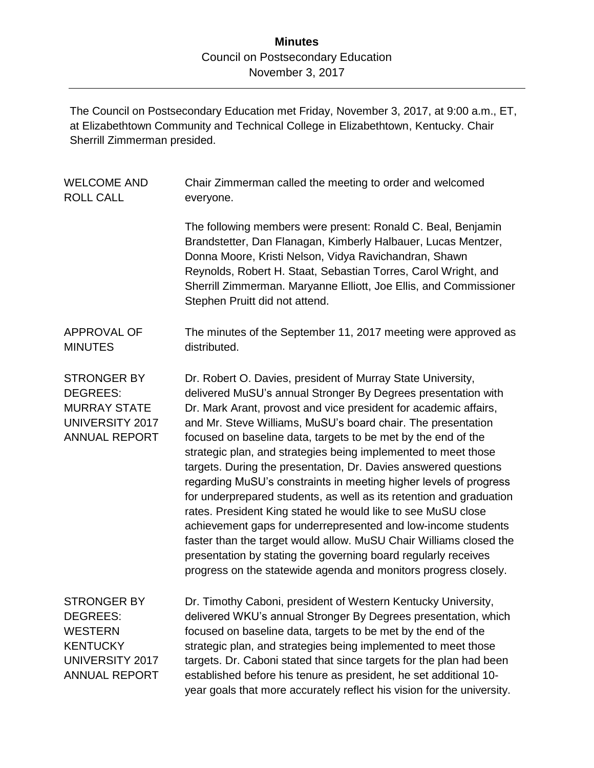## **Minutes** Council on Postsecondary Education November 3, 2017

The Council on Postsecondary Education met Friday, November 3, 2017, at 9:00 a.m., ET, at Elizabethtown Community and Technical College in Elizabethtown, Kentucky. Chair Sherrill Zimmerman presided.

| <b>WELCOME AND</b><br><b>ROLL CALL</b>                                                                                       | Chair Zimmerman called the meeting to order and welcomed<br>everyone.                                                                                                                                                                                                                                                                                                                                                                                                                                                                                                                                                                                                                                                                                                                                                                                                                                                                                          |
|------------------------------------------------------------------------------------------------------------------------------|----------------------------------------------------------------------------------------------------------------------------------------------------------------------------------------------------------------------------------------------------------------------------------------------------------------------------------------------------------------------------------------------------------------------------------------------------------------------------------------------------------------------------------------------------------------------------------------------------------------------------------------------------------------------------------------------------------------------------------------------------------------------------------------------------------------------------------------------------------------------------------------------------------------------------------------------------------------|
|                                                                                                                              | The following members were present: Ronald C. Beal, Benjamin<br>Brandstetter, Dan Flanagan, Kimberly Halbauer, Lucas Mentzer,<br>Donna Moore, Kristi Nelson, Vidya Ravichandran, Shawn<br>Reynolds, Robert H. Staat, Sebastian Torres, Carol Wright, and<br>Sherrill Zimmerman. Maryanne Elliott, Joe Ellis, and Commissioner<br>Stephen Pruitt did not attend.                                                                                                                                                                                                                                                                                                                                                                                                                                                                                                                                                                                                |
| <b>APPROVAL OF</b><br><b>MINUTES</b>                                                                                         | The minutes of the September 11, 2017 meeting were approved as<br>distributed.                                                                                                                                                                                                                                                                                                                                                                                                                                                                                                                                                                                                                                                                                                                                                                                                                                                                                 |
| <b>STRONGER BY</b><br><b>DEGREES:</b><br><b>MURRAY STATE</b><br><b>UNIVERSITY 2017</b><br><b>ANNUAL REPORT</b>               | Dr. Robert O. Davies, president of Murray State University,<br>delivered MuSU's annual Stronger By Degrees presentation with<br>Dr. Mark Arant, provost and vice president for academic affairs,<br>and Mr. Steve Williams, MuSU's board chair. The presentation<br>focused on baseline data, targets to be met by the end of the<br>strategic plan, and strategies being implemented to meet those<br>targets. During the presentation, Dr. Davies answered questions<br>regarding MuSU's constraints in meeting higher levels of progress<br>for underprepared students, as well as its retention and graduation<br>rates. President King stated he would like to see MuSU close<br>achievement gaps for underrepresented and low-income students<br>faster than the target would allow. MuSU Chair Williams closed the<br>presentation by stating the governing board regularly receives<br>progress on the statewide agenda and monitors progress closely. |
| <b>STRONGER BY</b><br><b>DEGREES:</b><br><b>WESTERN</b><br><b>KENTUCKY</b><br><b>UNIVERSITY 2017</b><br><b>ANNUAL REPORT</b> | Dr. Timothy Caboni, president of Western Kentucky University,<br>delivered WKU's annual Stronger By Degrees presentation, which<br>focused on baseline data, targets to be met by the end of the<br>strategic plan, and strategies being implemented to meet those<br>targets. Dr. Caboni stated that since targets for the plan had been<br>established before his tenure as president, he set additional 10-<br>year goals that more accurately reflect his vision for the university.                                                                                                                                                                                                                                                                                                                                                                                                                                                                       |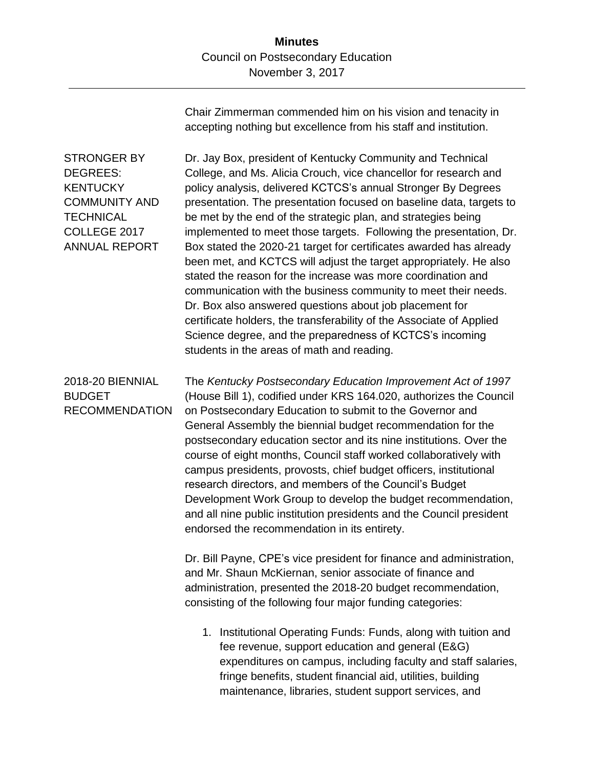Chair Zimmerman commended him on his vision and tenacity in accepting nothing but excellence from his staff and institution.

STRONGER BY DEGREES: **KENTUCKY** COMMUNITY AND **TECHNICAL** COLLEGE 2017 ANNUAL REPORT

Dr. Jay Box, president of Kentucky Community and Technical College, and Ms. Alicia Crouch, vice chancellor for research and policy analysis, delivered KCTCS's annual Stronger By Degrees presentation. The presentation focused on baseline data, targets to be met by the end of the strategic plan, and strategies being implemented to meet those targets. Following the presentation, Dr. Box stated the 2020-21 target for certificates awarded has already been met, and KCTCS will adjust the target appropriately. He also stated the reason for the increase was more coordination and communication with the business community to meet their needs. Dr. Box also answered questions about job placement for certificate holders, the transferability of the Associate of Applied Science degree, and the preparedness of KCTCS's incoming students in the areas of math and reading.

## 2018-20 BIENNIAL BUDGET RECOMMENDATION

The *Kentucky Postsecondary Education Improvement Act of 1997* (House Bill 1), codified under KRS 164.020, authorizes the Council on Postsecondary Education to submit to the Governor and General Assembly the biennial budget recommendation for the postsecondary education sector and its nine institutions. Over the course of eight months, Council staff worked collaboratively with campus presidents, provosts, chief budget officers, institutional research directors, and members of the Council's Budget Development Work Group to develop the budget recommendation, and all nine public institution presidents and the Council president endorsed the recommendation in its entirety.

Dr. Bill Payne, CPE's vice president for finance and administration, and Mr. Shaun McKiernan, senior associate of finance and administration, presented the 2018-20 budget recommendation, consisting of the following four major funding categories:

1. Institutional Operating Funds: Funds, along with tuition and fee revenue, support education and general (E&G) expenditures on campus, including faculty and staff salaries, fringe benefits, student financial aid, utilities, building maintenance, libraries, student support services, and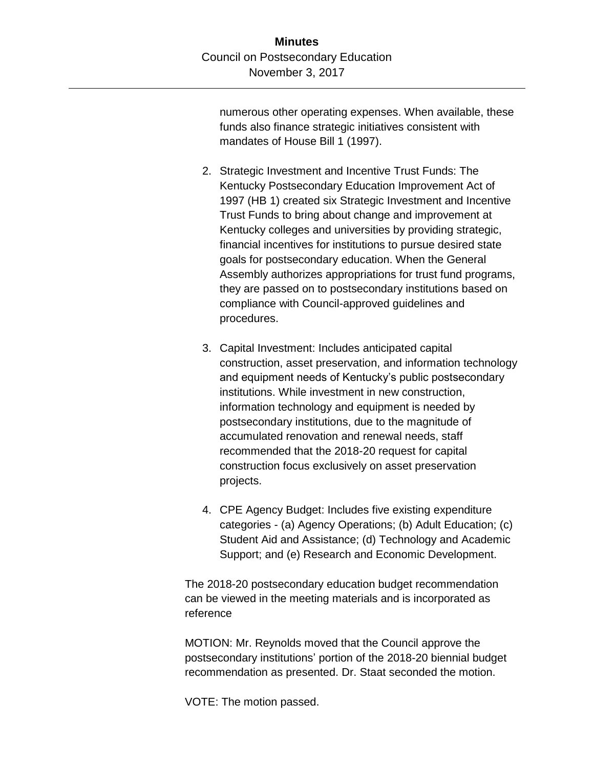numerous other operating expenses. When available, these funds also finance strategic initiatives consistent with mandates of House Bill 1 (1997).

- 2. Strategic Investment and Incentive Trust Funds: The Kentucky Postsecondary Education Improvement Act of 1997 (HB 1) created six Strategic Investment and Incentive Trust Funds to bring about change and improvement at Kentucky colleges and universities by providing strategic, financial incentives for institutions to pursue desired state goals for postsecondary education. When the General Assembly authorizes appropriations for trust fund programs, they are passed on to postsecondary institutions based on compliance with Council-approved guidelines and procedures.
- 3. Capital Investment: Includes anticipated capital construction, asset preservation, and information technology and equipment needs of Kentucky's public postsecondary institutions. While investment in new construction, information technology and equipment is needed by postsecondary institutions, due to the magnitude of accumulated renovation and renewal needs, staff recommended that the 2018-20 request for capital construction focus exclusively on asset preservation projects.
- 4. CPE Agency Budget: Includes five existing expenditure categories - (a) Agency Operations; (b) Adult Education; (c) Student Aid and Assistance; (d) Technology and Academic Support; and (e) Research and Economic Development.

The 2018-20 postsecondary education budget recommendation can be viewed in the meeting materials and is incorporated as reference

MOTION: Mr. Reynolds moved that the Council approve the postsecondary institutions' portion of the 2018-20 biennial budget recommendation as presented. Dr. Staat seconded the motion.

VOTE: The motion passed.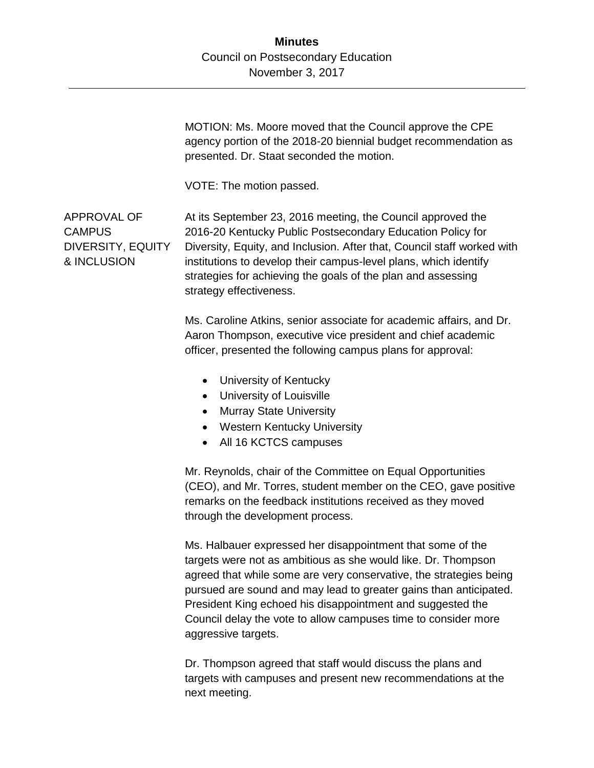MOTION: Ms. Moore moved that the Council approve the CPE agency portion of the 2018-20 biennial budget recommendation as presented. Dr. Staat seconded the motion. VOTE: The motion passed. APPROVAL OF CAMPUS DIVERSITY, EQUITY & INCLUSION At its September 23, 2016 meeting, the Council approved the 2016-20 Kentucky Public Postsecondary Education Policy for Diversity, Equity, and Inclusion. After that, Council staff worked with institutions to develop their campus-level plans, which identify strategies for achieving the goals of the plan and assessing strategy effectiveness. Ms. Caroline Atkins, senior associate for academic affairs, and Dr. Aaron Thompson, executive vice president and chief academic officer, presented the following campus plans for approval: • University of Kentucky University of Louisville • Murray State University Western Kentucky University • All 16 KCTCS campuses Mr. Reynolds, chair of the Committee on Equal Opportunities (CEO), and Mr. Torres, student member on the CEO, gave positive remarks on the feedback institutions received as they moved through the development process. Ms. Halbauer expressed her disappointment that some of the targets were not as ambitious as she would like. Dr. Thompson agreed that while some are very conservative, the strategies being pursued are sound and may lead to greater gains than anticipated. President King echoed his disappointment and suggested the

> aggressive targets. Dr. Thompson agreed that staff would discuss the plans and targets with campuses and present new recommendations at the next meeting.

Council delay the vote to allow campuses time to consider more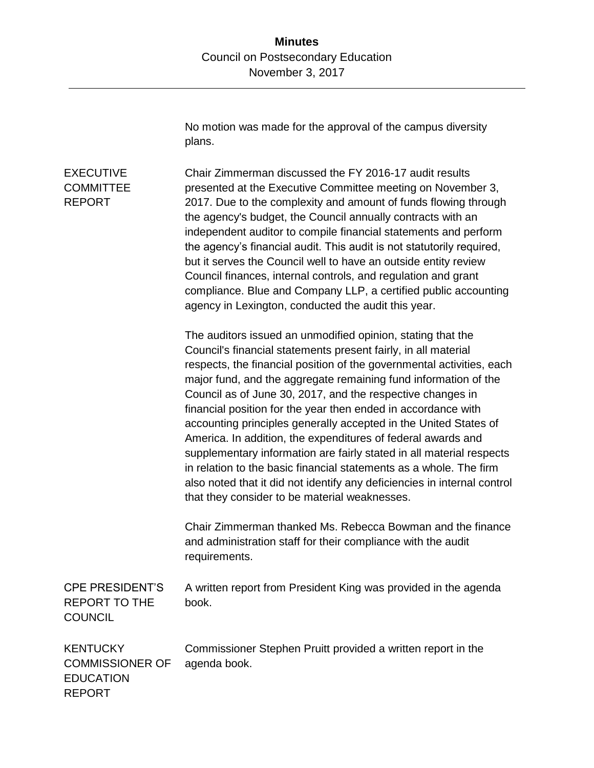No motion was made for the approval of the campus diversity plans.

## EXECUTIVE **COMMITTEE** REPORT Chair Zimmerman discussed the FY 2016-17 audit results presented at the Executive Committee meeting on November 3, 2017. Due to the complexity and amount of funds flowing through the agency's budget, the Council annually contracts with an independent auditor to compile financial statements and perform the agency's financial audit. This audit is not statutorily required, but it serves the Council well to have an outside entity review Council finances, internal controls, and regulation and grant compliance. Blue and Company LLP, a certified public accounting agency in Lexington, conducted the audit this year. The auditors issued an unmodified opinion, stating that the Council's financial statements present fairly, in all material respects, the financial position of the governmental activities, each major fund, and the aggregate remaining fund information of the Council as of June 30, 2017, and the respective changes in financial position for the year then ended in accordance with accounting principles generally accepted in the United States of America. In addition, the expenditures of federal awards and supplementary information are fairly stated in all material respects in relation to the basic financial statements as a whole. The firm also noted that it did not identify any deficiencies in internal control that they consider to be material weaknesses. Chair Zimmerman thanked Ms. Rebecca Bowman and the finance and administration staff for their compliance with the audit requirements. CPE PRESIDENT'S REPORT TO THE **COUNCIL** A written report from President King was provided in the agenda book. **KENTUCKY** COMMISSIONER OF **EDUCATION** REPORT Commissioner Stephen Pruitt provided a written report in the agenda book.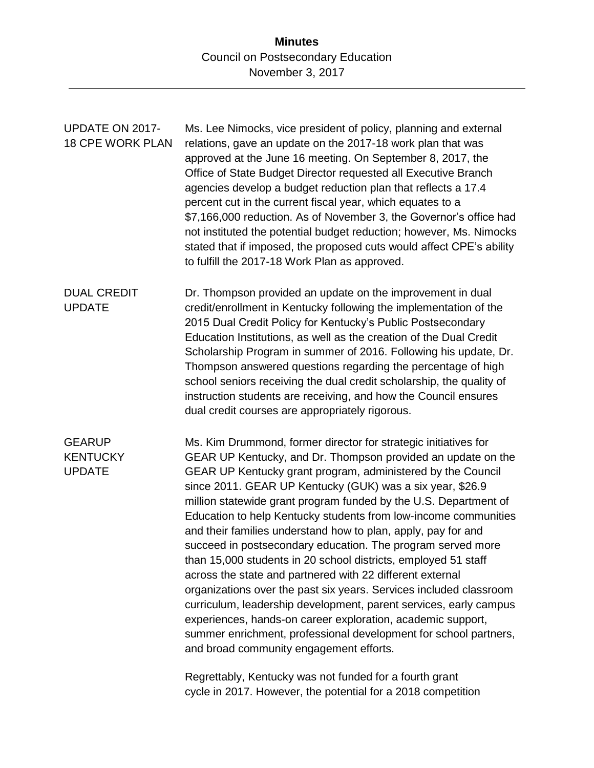**Minutes** Council on Postsecondary Education November 3, 2017

| <b>UPDATE ON 2017-</b><br><b>18 CPE WORK PLAN</b> | Ms. Lee Nimocks, vice president of policy, planning and external<br>relations, gave an update on the 2017-18 work plan that was<br>approved at the June 16 meeting. On September 8, 2017, the<br>Office of State Budget Director requested all Executive Branch<br>agencies develop a budget reduction plan that reflects a 17.4<br>percent cut in the current fiscal year, which equates to a<br>\$7,166,000 reduction. As of November 3, the Governor's office had<br>not instituted the potential budget reduction; however, Ms. Nimocks<br>stated that if imposed, the proposed cuts would affect CPE's ability<br>to fulfill the 2017-18 Work Plan as approved.                                                                                                                                                                                                                                                                                                                                                                                  |
|---------------------------------------------------|-------------------------------------------------------------------------------------------------------------------------------------------------------------------------------------------------------------------------------------------------------------------------------------------------------------------------------------------------------------------------------------------------------------------------------------------------------------------------------------------------------------------------------------------------------------------------------------------------------------------------------------------------------------------------------------------------------------------------------------------------------------------------------------------------------------------------------------------------------------------------------------------------------------------------------------------------------------------------------------------------------------------------------------------------------|
| <b>DUAL CREDIT</b><br><b>UPDATE</b>               | Dr. Thompson provided an update on the improvement in dual<br>credit/enrollment in Kentucky following the implementation of the<br>2015 Dual Credit Policy for Kentucky's Public Postsecondary<br>Education Institutions, as well as the creation of the Dual Credit<br>Scholarship Program in summer of 2016. Following his update, Dr.<br>Thompson answered questions regarding the percentage of high<br>school seniors receiving the dual credit scholarship, the quality of<br>instruction students are receiving, and how the Council ensures<br>dual credit courses are appropriately rigorous.                                                                                                                                                                                                                                                                                                                                                                                                                                                |
| <b>GEARUP</b><br><b>KENTUCKY</b><br><b>UPDATE</b> | Ms. Kim Drummond, former director for strategic initiatives for<br>GEAR UP Kentucky, and Dr. Thompson provided an update on the<br>GEAR UP Kentucky grant program, administered by the Council<br>since 2011. GEAR UP Kentucky (GUK) was a six year, \$26.9<br>million statewide grant program funded by the U.S. Department of<br>Education to help Kentucky students from low-income communities<br>and their families understand how to plan, apply, pay for and<br>succeed in postsecondary education. The program served more<br>than 15,000 students in 20 school districts, employed 51 staff<br>across the state and partnered with 22 different external<br>organizations over the past six years. Services included classroom<br>curriculum, leadership development, parent services, early campus<br>experiences, hands-on career exploration, academic support,<br>summer enrichment, professional development for school partners,<br>and broad community engagement efforts.<br>Regrettably, Kentucky was not funded for a fourth grant |

cycle in 2017. However, the potential for a 2018 competition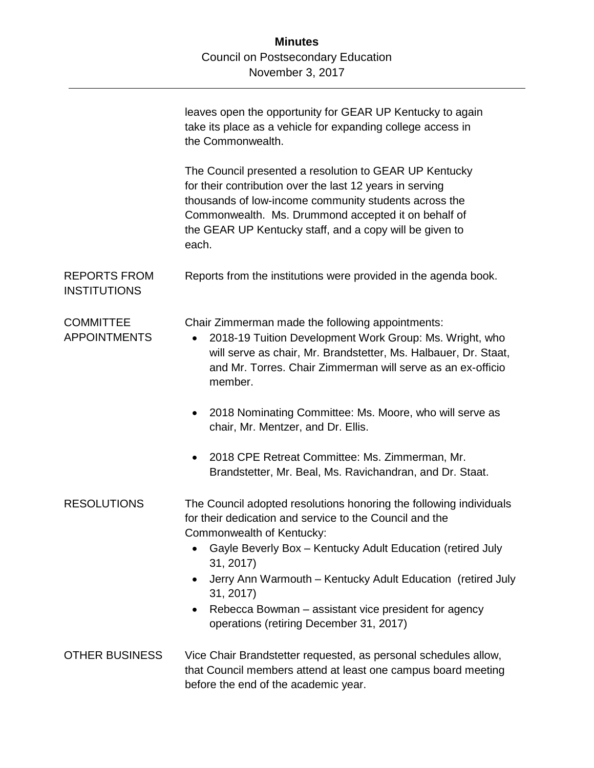|                                            | leaves open the opportunity for GEAR UP Kentucky to again<br>take its place as a vehicle for expanding college access in<br>the Commonwealth.                                                                                                                                                          |
|--------------------------------------------|--------------------------------------------------------------------------------------------------------------------------------------------------------------------------------------------------------------------------------------------------------------------------------------------------------|
|                                            | The Council presented a resolution to GEAR UP Kentucky<br>for their contribution over the last 12 years in serving<br>thousands of low-income community students across the<br>Commonwealth. Ms. Drummond accepted it on behalf of<br>the GEAR UP Kentucky staff, and a copy will be given to<br>each. |
| <b>REPORTS FROM</b><br><b>INSTITUTIONS</b> | Reports from the institutions were provided in the agenda book.                                                                                                                                                                                                                                        |
| <b>COMMITTEE</b><br><b>APPOINTMENTS</b>    | Chair Zimmerman made the following appointments:<br>2018-19 Tuition Development Work Group: Ms. Wright, who<br>$\bullet$<br>will serve as chair, Mr. Brandstetter, Ms. Halbauer, Dr. Staat,<br>and Mr. Torres. Chair Zimmerman will serve as an ex-officio<br>member.                                  |
|                                            | 2018 Nominating Committee: Ms. Moore, who will serve as<br>chair, Mr. Mentzer, and Dr. Ellis.                                                                                                                                                                                                          |
|                                            | 2018 CPE Retreat Committee: Ms. Zimmerman, Mr.<br>$\bullet$<br>Brandstetter, Mr. Beal, Ms. Ravichandran, and Dr. Staat.                                                                                                                                                                                |
| <b>RESOLUTIONS</b>                         | The Council adopted resolutions honoring the following individuals<br>for their dedication and service to the Council and the<br>Commonwealth of Kentucky:                                                                                                                                             |
|                                            | Gayle Beverly Box - Kentucky Adult Education (retired July<br>31, 2017)                                                                                                                                                                                                                                |
|                                            | Jerry Ann Warmouth - Kentucky Adult Education (retired July<br>31, 2017)                                                                                                                                                                                                                               |
|                                            | Rebecca Bowman – assistant vice president for agency<br>operations (retiring December 31, 2017)                                                                                                                                                                                                        |
| <b>OTHER BUSINESS</b>                      | Vice Chair Brandstetter requested, as personal schedules allow,<br>that Council members attend at least one campus board meeting<br>before the end of the academic year.                                                                                                                               |